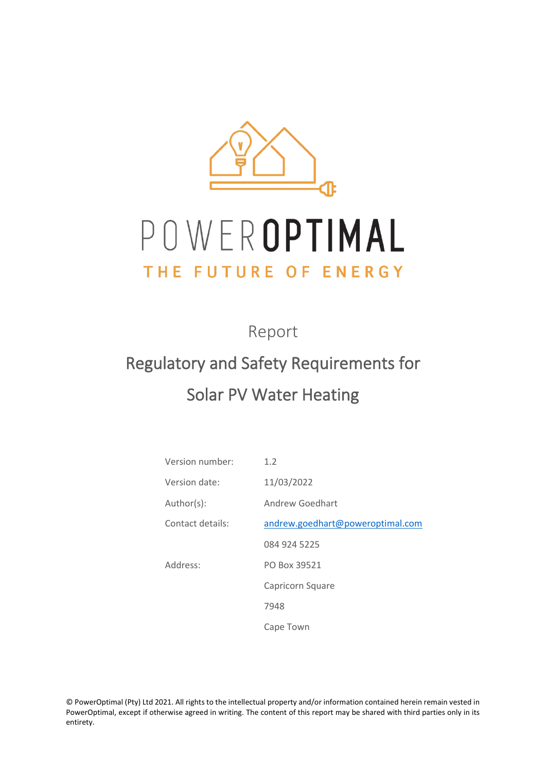

# POWEROPTIMAL THE FUTURE OF ENERGY

Report

## Regulatory and Safety Requirements for Solar PV Water Heating

Version number: 1.2 Version date: 11/03/2022 Author(s): Andrew Goedhart Contact details: [andrew.goedhart@poweroptimal.com](mailto:andrew.goedhart@poweroptimal.com) 084 924 5225 Address: PO Box 39521 Capricorn Square 7948 Cape Town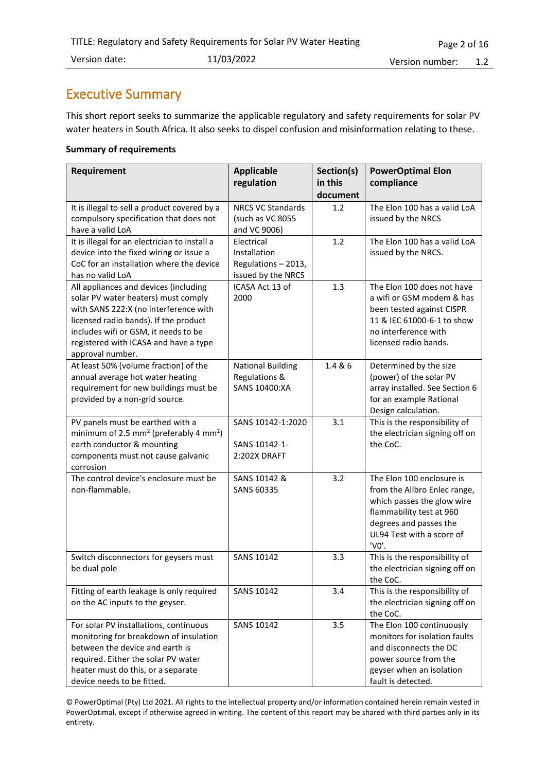## <span id="page-1-0"></span>Executive Summary

This short report seeks to summarize the applicable regulatory and safety requirements for solar PV water heaters in South Africa. It also seeks to dispel confusion and misinformation relating to these.

#### **Summary of requirements**

| Requirement                                                                                                                                                                                                                                                         | <b>Applicable</b>                                                       | Section(s)          | <b>PowerOptimal Elon</b>                                                                                                                                                            |
|---------------------------------------------------------------------------------------------------------------------------------------------------------------------------------------------------------------------------------------------------------------------|-------------------------------------------------------------------------|---------------------|-------------------------------------------------------------------------------------------------------------------------------------------------------------------------------------|
|                                                                                                                                                                                                                                                                     | regulation                                                              | in this<br>document | compliance                                                                                                                                                                          |
| It is illegal to sell a product covered by a<br>compulsory specification that does not<br>have a valid LoA                                                                                                                                                          | <b>NRCS VC Standards</b><br>(such as VC 8055<br>and VC 9006)            | 1.2                 | The Elon 100 has a valid LoA<br>issued by the NRCS                                                                                                                                  |
| It is illegal for an electrician to install a<br>device into the fixed wiring or issue a<br>CoC for an installation where the device<br>has no valid LoA                                                                                                            | Electrical<br>Installation<br>Regulations - 2013,<br>issued by the NRCS | 1.2                 | The Elon 100 has a valid LoA<br>issued by the NRCS.                                                                                                                                 |
| All appliances and devices (including<br>solar PV water heaters) must comply<br>with SANS 222:X (no interference with<br>licensed radio bands). If the product<br>includes wifi or GSM, it needs to be<br>registered with ICASA and have a type<br>approval number. | ICASA Act 13 of<br>2000                                                 | 1.3                 | The Elon 100 does not have<br>a wifi or GSM modem & has<br>been tested against CISPR<br>11 & IEC 61000-6-1 to show<br>no interference with<br>licensed radio bands.                 |
| At least 50% (volume fraction) of the<br>annual average hot water heating<br>requirement for new buildings must be<br>provided by a non-grid source.                                                                                                                | <b>National Building</b><br>Regulations &<br><b>SANS 10400:XA</b>       | 1.4 & 6             | Determined by the size<br>(power) of the solar PV<br>array installed. See Section 6<br>for an example Rational<br>Design calculation.                                               |
| PV panels must be earthed with a<br>minimum of 2.5 mm <sup>2</sup> (preferably 4 mm <sup>2</sup> )<br>earth conductor & mounting<br>components must not cause galvanic<br>corrosion                                                                                 | SANS 10142-1:2020<br>SANS 10142-1-<br>2:202X DRAFT                      | 3.1                 | This is the responsibility of<br>the electrician signing off on<br>the CoC.                                                                                                         |
| The control device's enclosure must be<br>non-flammable.                                                                                                                                                                                                            | SANS 10142 &<br>SANS 60335                                              | 3.2                 | The Elon 100 enclosure is<br>from the Allbro Enlec range,<br>which passes the glow wire<br>flammability test at 960<br>degrees and passes the<br>UL94 Test with a score of<br>'V0'. |
| Switch disconnectors for geysers must<br>be dual pole                                                                                                                                                                                                               | SANS 10142                                                              | 3.3                 | This is the responsibility of<br>the electrician signing off on<br>the CoC.                                                                                                         |
| Fitting of earth leakage is only required<br>on the AC inputs to the geyser.                                                                                                                                                                                        | SANS 10142                                                              | 3.4                 | This is the responsibility of<br>the electrician signing off on<br>the CoC.                                                                                                         |
| For solar PV installations, continuous<br>monitoring for breakdown of insulation<br>between the device and earth is<br>required. Either the solar PV water<br>heater must do this, or a separate<br>device needs to be fitted.                                      | SANS 10142                                                              | 3.5                 | The Elon 100 continuously<br>monitors for isolation faults<br>and disconnects the DC<br>power source from the<br>geyser when an isolation<br>fault is detected.                     |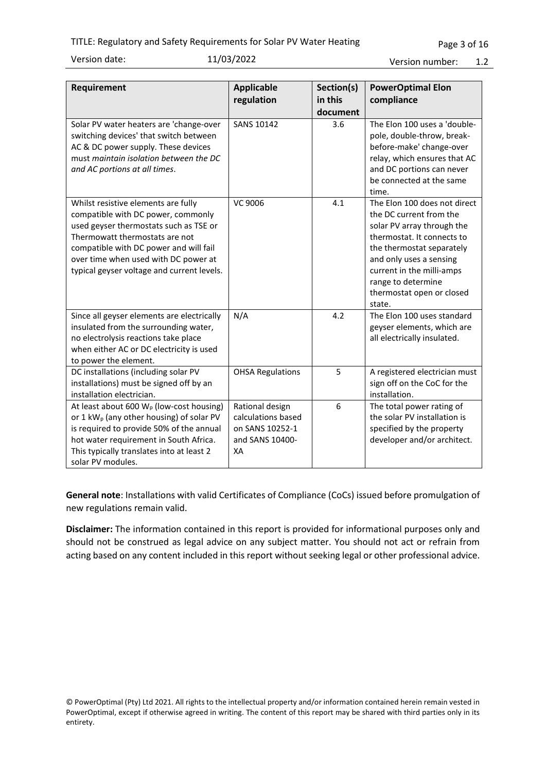Version date: 11/03/2022

Version number: 1.2

| Requirement                                                                                                                                                                                                                                                                           | <b>Applicable</b>                                                                 | Section(s)          | <b>PowerOptimal Elon</b>                                                                                                                                                                                                                                              |
|---------------------------------------------------------------------------------------------------------------------------------------------------------------------------------------------------------------------------------------------------------------------------------------|-----------------------------------------------------------------------------------|---------------------|-----------------------------------------------------------------------------------------------------------------------------------------------------------------------------------------------------------------------------------------------------------------------|
|                                                                                                                                                                                                                                                                                       | regulation                                                                        | in this<br>document | compliance                                                                                                                                                                                                                                                            |
| Solar PV water heaters are 'change-over<br>switching devices' that switch between<br>AC & DC power supply. These devices<br>must maintain isolation between the DC<br>and AC portions at all times.                                                                                   | <b>SANS 10142</b>                                                                 | 3.6                 | The Elon 100 uses a 'double-<br>pole, double-throw, break-<br>before-make' change-over<br>relay, which ensures that AC<br>and DC portions can never<br>be connected at the same<br>time.                                                                              |
| Whilst resistive elements are fully<br>compatible with DC power, commonly<br>used geyser thermostats such as TSE or<br>Thermowatt thermostats are not<br>compatible with DC power and will fail<br>over time when used with DC power at<br>typical geyser voltage and current levels. | VC 9006                                                                           | 4.1                 | The Elon 100 does not direct<br>the DC current from the<br>solar PV array through the<br>thermostat. It connects to<br>the thermostat separately<br>and only uses a sensing<br>current in the milli-amps<br>range to determine<br>thermostat open or closed<br>state. |
| Since all geyser elements are electrically<br>insulated from the surrounding water,<br>no electrolysis reactions take place<br>when either AC or DC electricity is used<br>to power the element.                                                                                      | N/A                                                                               | 4.2                 | The Elon 100 uses standard<br>geyser elements, which are<br>all electrically insulated.                                                                                                                                                                               |
| DC installations (including solar PV<br>installations) must be signed off by an<br>installation electrician.                                                                                                                                                                          | <b>OHSA Regulations</b>                                                           | 5                   | A registered electrician must<br>sign off on the CoC for the<br>installation.                                                                                                                                                                                         |
| At least about 600 $W_p$ (low-cost housing)<br>or 1 kW <sub>p</sub> (any other housing) of solar PV<br>is required to provide 50% of the annual<br>hot water requirement in South Africa.<br>This typically translates into at least 2<br>solar PV modules.                           | Rational design<br>calculations based<br>on SANS 10252-1<br>and SANS 10400-<br>XA | 6                   | The total power rating of<br>the solar PV installation is<br>specified by the property<br>developer and/or architect.                                                                                                                                                 |

**General note**: Installations with valid Certificates of Compliance (CoCs) issued before promulgation of new regulations remain valid.

**Disclaimer:** The information contained in this report is provided for informational purposes only and should not be construed as legal advice on any subject matter. You should not act or refrain from acting based on any content included in this report without seeking legal or other professional advice.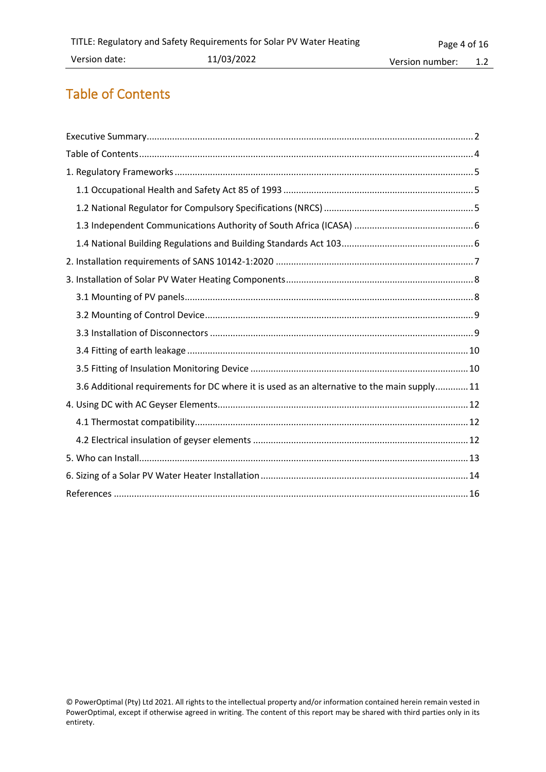## <span id="page-3-0"></span>Table of Contents

| 3.6 Additional requirements for DC where it is used as an alternative to the main supply 11 |
|---------------------------------------------------------------------------------------------|
|                                                                                             |
|                                                                                             |
|                                                                                             |
|                                                                                             |
|                                                                                             |
|                                                                                             |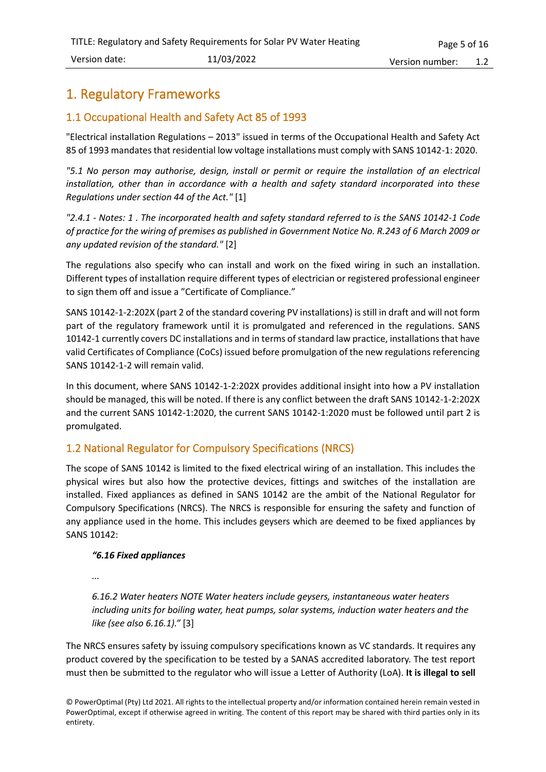## <span id="page-4-0"></span>1. Regulatory Frameworks

#### <span id="page-4-1"></span>1.1 Occupational Health and Safety Act 85 of 1993

"Electrical installation Regulations – 2013" issued in terms of the Occupational Health and Safety Act 85 of 1993 mandates that residential low voltage installations must comply with SANS 10142-1: 2020.

*"5.1 No person may authorise, design, install or permit or require the installation of an electrical installation, other than in accordance with a health and safety standard incorporated into these Regulations under section 44 of the Act."* [1]

*"2.4.1 - Notes: 1 . The incorporated health and safety standard referred to is the SANS 10142-1 Code of practice for the wiring of premises as published in Government Notice No. R.243 of 6 March 2009 or any updated revision of the standard."* [2]

The regulations also specify who can install and work on the fixed wiring in such an installation. Different types of installation require different types of electrician or registered professional engineer to sign them off and issue a "Certificate of Compliance."

SANS 10142-1-2:202X (part 2 of the standard covering PV installations) is still in draft and will not form part of the regulatory framework until it is promulgated and referenced in the regulations. SANS 10142-1 currently covers DC installations and in terms of standard law practice, installations that have valid Certificates of Compliance (CoCs) issued before promulgation of the new regulations referencing SANS 10142-1-2 will remain valid.

In this document, where SANS 10142-1-2:202X provides additional insight into how a PV installation should be managed, this will be noted. If there is any conflict between the draft SANS 10142-1-2:202X and the current SANS 10142-1:2020, the current SANS 10142-1:2020 must be followed until part 2 is promulgated.

#### <span id="page-4-2"></span>1.2 National Regulator for Compulsory Specifications (NRCS)

The scope of SANS 10142 is limited to the fixed electrical wiring of an installation. This includes the physical wires but also how the protective devices, fittings and switches of the installation are installed. Fixed appliances as defined in SANS 10142 are the ambit of the National Regulator for Compulsory Specifications (NRCS). The NRCS is responsible for ensuring the safety and function of any appliance used in the home. This includes geysers which are deemed to be fixed appliances by SANS 10142:

#### *"6.16 Fixed appliances*

*...*

*6.16.2 Water heaters NOTE Water heaters include geysers, instantaneous water heaters including units for boiling water, heat pumps, solar systems, induction water heaters and the like (see also 6.16.1)."* [3]

The NRCS ensures safety by issuing compulsory specifications known as VC standards. It requires any product covered by the specification to be tested by a SANAS accredited laboratory. The test report must then be submitted to the regulator who will issue a Letter of Authority (LoA). **It is illegal to sell**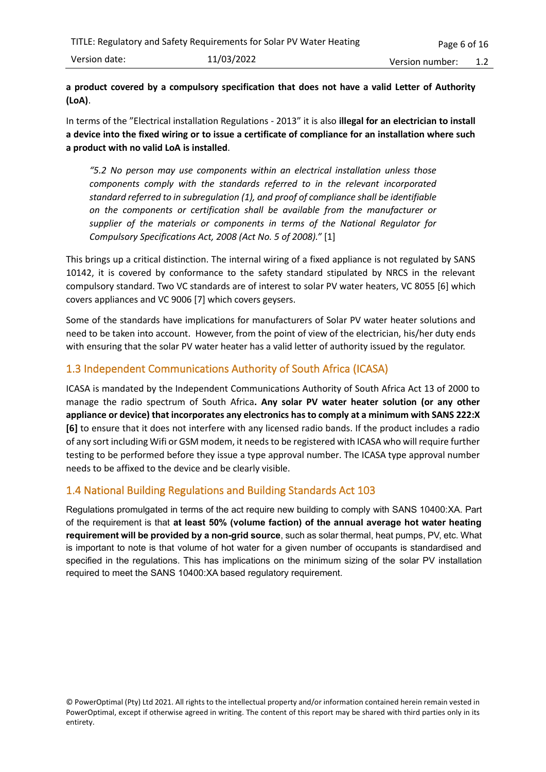#### **a product covered by a compulsory specification that does not have a valid Letter of Authority (LoA)**.

In terms of the "Electrical installation Regulations - 2013" it is also **illegal for an electrician to install a device into the fixed wiring or to issue a certificate of compliance for an installation where such a product with no valid LoA is installed**.

*"5.2 No person may use components within an electrical installation unless those components comply with the standards referred to in the relevant incorporated standard referred to in subregulation (1), and proof of compliance shall be identifiable on the components or certification shall be available from the manufacturer or supplier of the materials or components in terms of the National Regulator for Compulsory Specifications Act, 2008 (Act No. 5 of 2008)."* [1]

This brings up a critical distinction. The internal wiring of a fixed appliance is not regulated by SANS 10142, it is covered by conformance to the safety standard stipulated by NRCS in the relevant compulsory standard. Two VC standards are of interest to solar PV water heaters, VC 8055 [6] which covers appliances and VC 9006 [7] which covers geysers.

Some of the standards have implications for manufacturers of Solar PV water heater solutions and need to be taken into account. However, from the point of view of the electrician, his/her duty ends with ensuring that the solar PV water heater has a valid letter of authority issued by the regulator.

#### <span id="page-5-0"></span>1.3 Independent Communications Authority of South Africa (ICASA)

ICASA is mandated by the Independent Communications Authority of South Africa Act 13 of 2000 to manage the radio spectrum of South Africa**. Any solar PV water heater solution (or any other appliance or device) that incorporates any electronics has to comply at a minimum with SANS 222:X [6]** to ensure that it does not interfere with any licensed radio bands. If the product includes a radio of any sort including Wifi or GSM modem, it needs to be registered with ICASA who will require further testing to be performed before they issue a type approval number. The ICASA type approval number needs to be affixed to the device and be clearly visible.

#### <span id="page-5-1"></span>1.4 National Building Regulations and Building Standards Act 103

Regulations promulgated in terms of the act require new building to comply with SANS 10400:XA. Part of the requirement is that **at least 50% (volume faction) of the annual average hot water heating requirement will be provided by a non-grid source**, such as solar thermal, heat pumps, PV, etc. What is important to note is that volume of hot water for a given number of occupants is standardised and specified in the regulations. This has implications on the minimum sizing of the solar PV installation required to meet the SANS 10400:XA based regulatory requirement.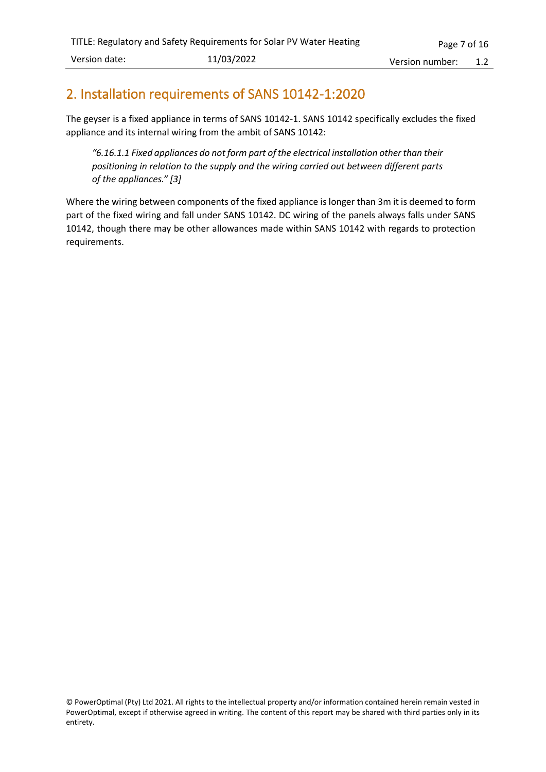## <span id="page-6-0"></span>2. Installation requirements of SANS 10142-1:2020

The geyser is a fixed appliance in terms of SANS 10142-1. SANS 10142 specifically excludes the fixed appliance and its internal wiring from the ambit of SANS 10142:

*"6.16.1.1 Fixed appliances do not form part of the electrical installation other than their positioning in relation to the supply and the wiring carried out between different parts of the appliances." [3]*

Where the wiring between components of the fixed appliance is longer than 3m it is deemed to form part of the fixed wiring and fall under SANS 10142. DC wiring of the panels always falls under SANS 10142, though there may be other allowances made within SANS 10142 with regards to protection requirements.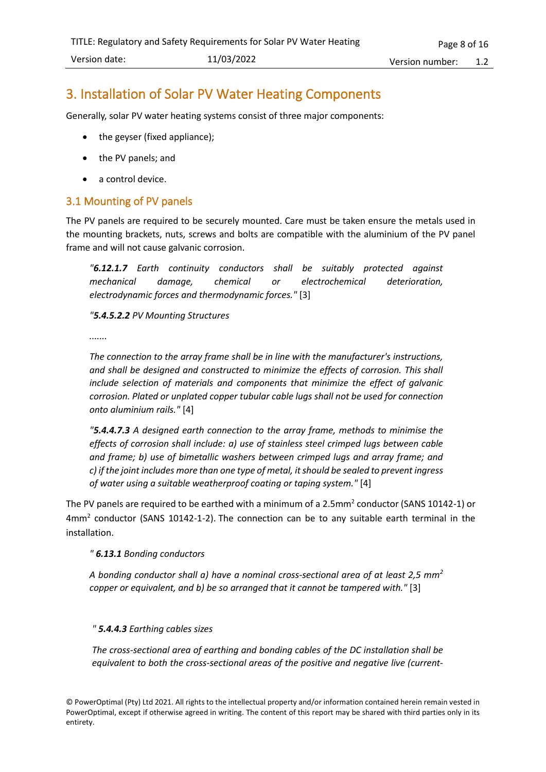## <span id="page-7-0"></span>3. Installation of Solar PV Water Heating Components

Generally, solar PV water heating systems consist of three major components:

- the geyser (fixed appliance);
- the PV panels; and
- a control device.

#### <span id="page-7-1"></span>3.1 Mounting of PV panels

The PV panels are required to be securely mounted. Care must be taken ensure the metals used in the mounting brackets, nuts, screws and bolts are compatible with the aluminium of the PV panel frame and will not cause galvanic corrosion.

*"6.12.1.7 Earth continuity conductors shall be suitably protected against mechanical damage, chemical or electrochemical deterioration, electrodynamic forces and thermodynamic forces."* [3]

*"5.4.5.2.2 PV Mounting Structures*

*.......*

*The connection to the array frame shall be in line with the manufacturer's instructions, and shall be designed and constructed to minimize the effects of corrosion. This shall include selection of materials and components that minimize the effect of galvanic corrosion. Plated or unplated copper tubular cable lugs shall not be used for connection onto aluminium rails."* [4]

*"5.4.4.7.3 A designed earth connection to the array frame, methods to minimise the effects of corrosion shall include: a) use of stainless steel crimped lugs between cable and frame; b) use of bimetallic washers between crimped lugs and array frame; and c) if the joint includes more than one type of metal, it should be sealed to prevent ingress of water using a suitable weatherproof coating or taping system."* [4]

The PV panels are required to be earthed with a minimum of a 2.5mm<sup>2</sup> conductor (SANS 10142-1) or  $4mm<sup>2</sup>$  conductor (SANS 10142-1-2). The connection can be to any suitable earth terminal in the installation.

*" 6.13.1 Bonding conductors*

*A bonding conductor shall a) have a nominal cross-sectional area of at least 2,5 mm<sup>2</sup> copper or equivalent, and b) be so arranged that it cannot be tampered with."* [3]

#### *" 5.4.4.3 Earthing cables sizes*

*The cross-sectional area of earthing and bonding cables of the DC installation shall be equivalent to both the cross-sectional areas of the positive and negative live (current-*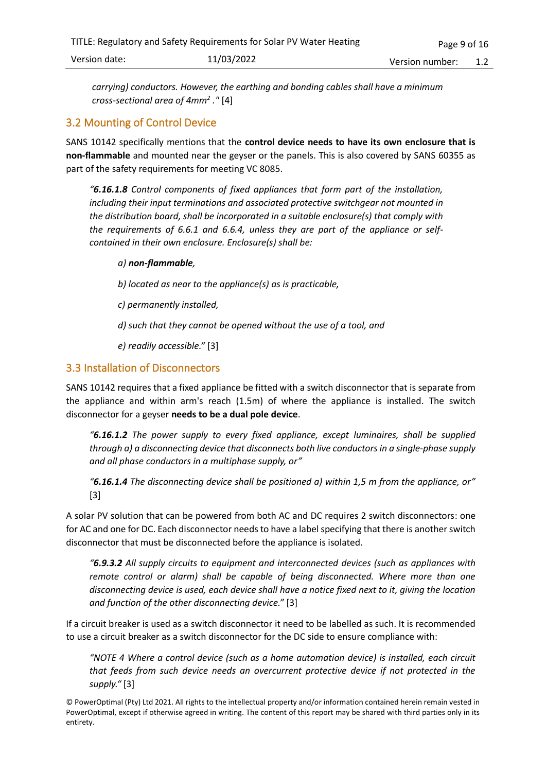*carrying) conductors. However, the earthing and bonding cables shall have a minimum cross-sectional area of 4mm<sup>2</sup> ."* [4]

#### <span id="page-8-0"></span>3.2 Mounting of Control Device

SANS 10142 specifically mentions that the **control device needs to have its own enclosure that is non-flammable** and mounted near the geyser or the panels. This is also covered by SANS 60355 as part of the safety requirements for meeting VC 8085.

*"6.16.1.8 Control components of fixed appliances that form part of the installation, including their input terminations and associated protective switchgear not mounted in the distribution board, shall be incorporated in a suitable enclosure(s) that comply with the requirements of 6.6.1 and 6.6.4, unless they are part of the appliance or selfcontained in their own enclosure. Enclosure(s) shall be:*

#### *a) non-flammable,*

*b) located as near to the appliance(s) as is practicable,*

*c) permanently installed,*

*d) such that they cannot be opened without the use of a tool, and*

*e) readily accessible."* [3]

#### <span id="page-8-1"></span>3.3 Installation of Disconnectors

SANS 10142 requires that a fixed appliance be fitted with a switch disconnector that is separate from the appliance and within arm's reach (1.5m) of where the appliance is installed. The switch disconnector for a geyser **needs to be a dual pole device**.

*"6.16.1.2 The power supply to every fixed appliance, except luminaires, shall be supplied through a) a disconnecting device that disconnects both live conductors in a single-phase supply and all phase conductors in a multiphase supply, or"*

*"6.16.1.4 The disconnecting device shall be positioned a) within 1,5 m from the appliance, or"*  [3]

A solar PV solution that can be powered from both AC and DC requires 2 switch disconnectors: one for AC and one for DC. Each disconnector needs to have a label specifying that there is another switch disconnector that must be disconnected before the appliance is isolated.

*"6.9.3.2 All supply circuits to equipment and interconnected devices (such as appliances with remote control or alarm)* shall be capable of being disconnected. Where more than one *disconnecting device is used, each device shall have a notice fixed next to it, giving the location and function of the other disconnecting device."* [3]

If a circuit breaker is used as a switch disconnector it need to be labelled as such. It is recommended to use a circuit breaker as a switch disconnector for the DC side to ensure compliance with:

*"NOTE 4 Where a control device (such as a home automation device) is installed, each circuit that feeds from such device needs an overcurrent protective device if not protected in the supply."* [3]

<sup>©</sup> PowerOptimal (Pty) Ltd 2021. All rights to the intellectual property and/or information contained herein remain vested in PowerOptimal, except if otherwise agreed in writing. The content of this report may be shared with third parties only in its entirety.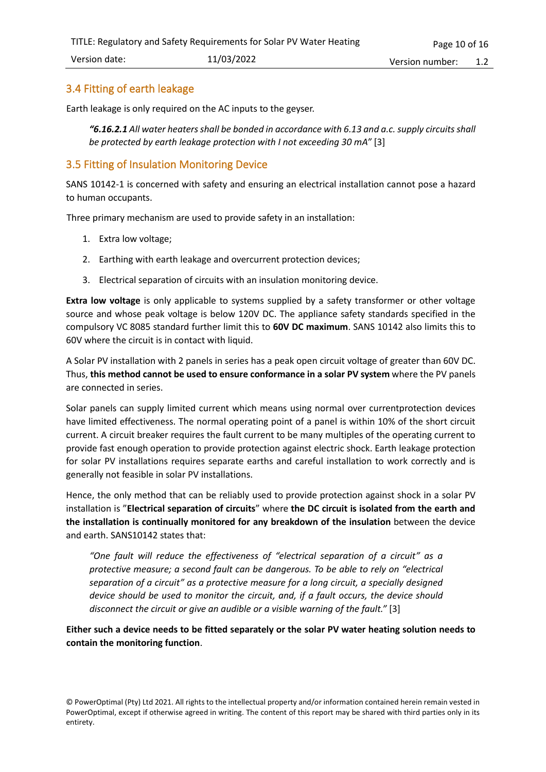#### <span id="page-9-0"></span>3.4 Fitting of earth leakage

Earth leakage is only required on the AC inputs to the geyser.

*"6.16.2.1 All water heaters shall be bonded in accordance with 6.13 and a.c. supply circuits shall be protected by earth leakage protection with I not exceeding 30 mA"* [3]

#### <span id="page-9-1"></span>3.5 Fitting of Insulation Monitoring Device

SANS 10142-1 is concerned with safety and ensuring an electrical installation cannot pose a hazard to human occupants.

Three primary mechanism are used to provide safety in an installation:

- 1. Extra low voltage;
- 2. Earthing with earth leakage and overcurrent protection devices;
- 3. Electrical separation of circuits with an insulation monitoring device.

**Extra low voltage** is only applicable to systems supplied by a safety transformer or other voltage source and whose peak voltage is below 120V DC. The appliance safety standards specified in the compulsory VC 8085 standard further limit this to **60V DC maximum**. SANS 10142 also limits this to 60V where the circuit is in contact with liquid.

A Solar PV installation with 2 panels in series has a peak open circuit voltage of greater than 60V DC. Thus, **this method cannot be used to ensure conformance in a solar PV system** where the PV panels are connected in series.

Solar panels can supply limited current which means using normal over currentprotection devices have limited effectiveness. The normal operating point of a panel is within 10% of the short circuit current. A circuit breaker requires the fault current to be many multiples of the operating current to provide fast enough operation to provide protection against electric shock. Earth leakage protection for solar PV installations requires separate earths and careful installation to work correctly and is generally not feasible in solar PV installations.

Hence, the only method that can be reliably used to provide protection against shock in a solar PV installation is "**Electrical separation of circuits**" where **the DC circuit is isolated from the earth and the installation is continually monitored for any breakdown of the insulation** between the device and earth. SANS10142 states that:

*"One fault will reduce the effectiveness of "electrical separation of a circuit" as a protective measure; a second fault can be dangerous. To be able to rely on "electrical separation of a circuit" as a protective measure for a long circuit, a specially designed device should be used to monitor the circuit, and, if a fault occurs, the device should disconnect the circuit or give an audible or a visible warning of the fault."* [3]

**Either such a device needs to be fitted separately or the solar PV water heating solution needs to contain the monitoring function**.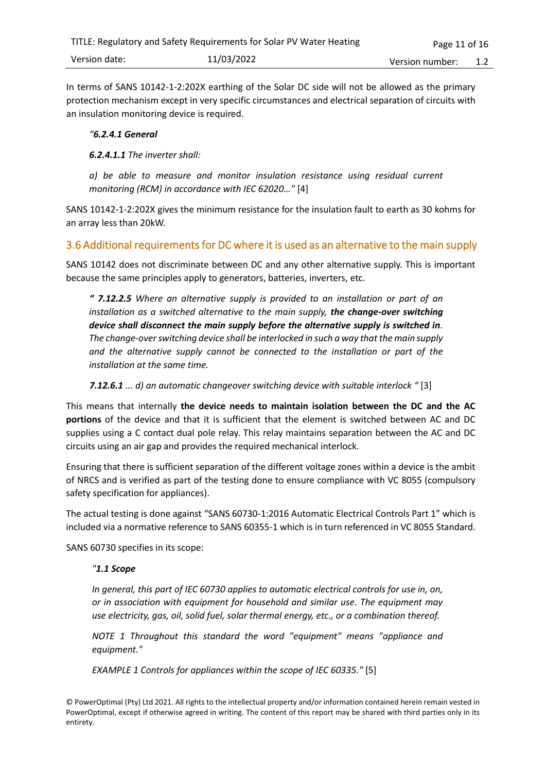In terms of SANS 10142-1-2:202X earthing of the Solar DC side will not be allowed as the primary protection mechanism except in very specific circumstances and electrical separation of circuits with an insulation monitoring device is required.

#### *"6.2.4.1 General*

#### *6.2.4.1.1 The inverter shall:*

*a) be able to measure and monitor insulation resistance using residual current monitoring (RCM) in accordance with IEC 62020…"* [4]

SANS 10142-1-2:202X gives the minimum resistance for the insulation fault to earth as 30 kohms for an array less than 20kW.

#### <span id="page-10-0"></span>3.6 Additional requirements for DC where it is used as an alternative to the main supply

SANS 10142 does not discriminate between DC and any other alternative supply. This is important because the same principles apply to generators, batteries, inverters, etc.

*" 7.12.2.5 Where an alternative supply is provided to an installation or part of an installation as a switched alternative to the main supply, the change-over switching device shall disconnect the main supply before the alternative supply is switched in. The change-over switching device shall be interlocked in such a way that the main supply and the alternative supply cannot be connected to the installation or part of the installation at the same time.*

*7.12.6.1 ... d) an automatic changeover switching device with suitable interlock "* [3]

This means that internally **the device needs to maintain isolation between the DC and the AC portions** of the device and that it is sufficient that the element is switched between AC and DC supplies using a C contact dual pole relay. This relay maintains separation between the AC and DC circuits using an air gap and provides the required mechanical interlock.

Ensuring that there is sufficient separation of the different voltage zones within a device is the ambit of NRCS and is verified as part of the testing done to ensure compliance with VC 8055 (compulsory safety specification for appliances).

The actual testing is done against "SANS 60730-1:2016 Automatic Electrical Controls Part 1" which is included via a normative reference to SANS 60355-1 which is in turn referenced in VC 8055 Standard.

SANS 60730 specifies in its scope:

#### *"1.1 Scope*

*In general, this part of IEC 60730 applies to automatic electrical controls for use in, on, or in association with equipment for household and similar use. The equipment may use electricity, gas, oil, solid fuel, solar thermal energy, etc., or a combination thereof.*

*NOTE 1 Throughout this standard the word "equipment" means "appliance and equipment."*

*EXAMPLE 1 Controls for appliances within the scope of IEC 60335."* [5]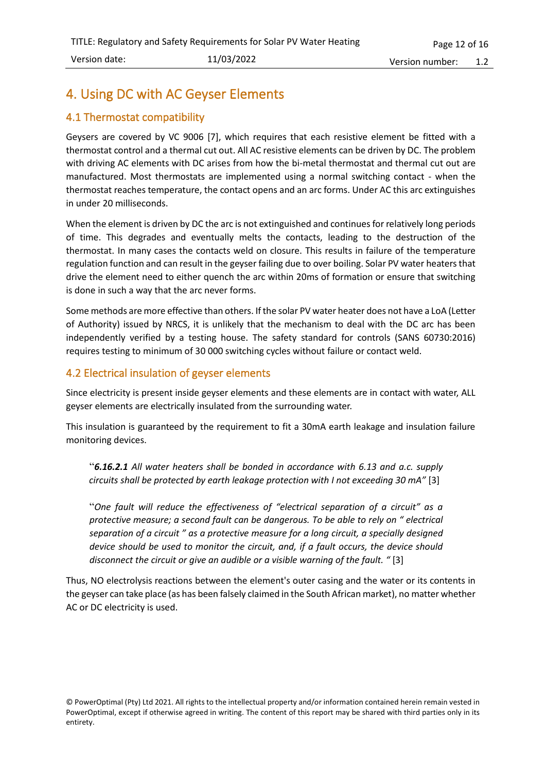## <span id="page-11-0"></span>4. Using DC with AC Geyser Elements

#### <span id="page-11-1"></span>4.1 Thermostat compatibility

Geysers are covered by VC 9006 [7], which requires that each resistive element be fitted with a thermostat control and a thermal cut out. All AC resistive elements can be driven by DC. The problem with driving AC elements with DC arises from how the bi-metal thermostat and thermal cut out are manufactured. Most thermostats are implemented using a normal switching contact - when the thermostat reaches temperature, the contact opens and an arc forms. Under AC this arc extinguishes in under 20 milliseconds.

When the element is driven by DC the arc is not extinguished and continues for relatively long periods of time. This degrades and eventually melts the contacts, leading to the destruction of the thermostat. In many cases the contacts weld on closure. This results in failure of the temperature regulation function and can result in the geyser failing due to over boiling. Solar PV water heatersthat drive the element need to either quench the arc within 20ms of formation or ensure that switching is done in such a way that the arc never forms.

Some methods are more effective than others. If the solar PV water heater does not have a LoA (Letter of Authority) issued by NRCS, it is unlikely that the mechanism to deal with the DC arc has been independently verified by a testing house. The safety standard for controls (SANS 60730:2016) requires testing to minimum of 30 000 switching cycles without failure or contact weld.

#### <span id="page-11-2"></span>4.2 Electrical insulation of geyser elements

Since electricity is present inside geyser elements and these elements are in contact with water, ALL geyser elements are electrically insulated from the surrounding water.

This insulation is guaranteed by the requirement to fit a 30mA earth leakage and insulation failure monitoring devices.

"*6.16.2.1 All water heaters shall be bonded in accordance with 6.13 and a.c. supply circuits shall be protected by earth leakage protection with I not exceeding 30 mA"* [3]

"*One fault will reduce the effectiveness of "electrical separation of a circuit" as a protective measure; a second fault can be dangerous. To be able to rely on " electrical separation of a circuit " as a protective measure for a long circuit, a specially designed device should be used to monitor the circuit, and, if a fault occurs, the device should disconnect the circuit or give an audible or a visible warning of the fault. "* [3]

Thus, NO electrolysis reactions between the element's outer casing and the water or its contents in the geyser can take place (as has been falsely claimed in the South African market), no matter whether AC or DC electricity is used.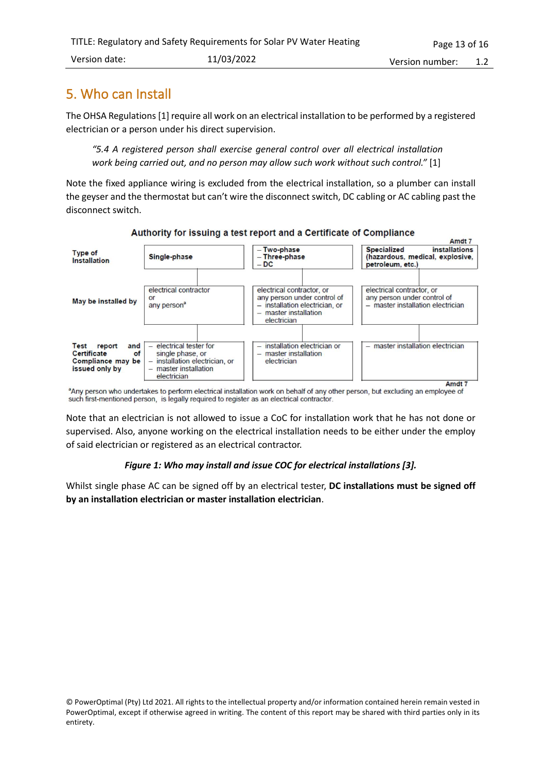## <span id="page-12-0"></span>5. Who can Install

The OHSA Regulations[1] require all work on an electrical installation to be performed by a registered electrician or a person under his direct supervision.

*"5.4 A registered person shall exercise general control over all electrical installation work being carried out, and no person may allow such work without such control."* [1]

Note the fixed appliance wiring is excluded from the electrical installation, so a plumber can install the geyser and the thermostat but can't wire the disconnect switch, DC cabling or AC cabling past the disconnect switch.



Authority for issuing a test report and a Certificate of Compliance

any person who undertakes to perform electrical installation work on behalf of any other person, but excluding an employee of such first-mentioned person, is legally required to register as an electrical contractor.

Note that an electrician is not allowed to issue a CoC for installation work that he has not done or supervised. Also, anyone working on the electrical installation needs to be either under the employ of said electrician or registered as an electrical contractor.

#### *Figure 1: Who may install and issue COC for electrical installations [3].*

Whilst single phase AC can be signed off by an electrical tester, **DC installations must be signed off by an installation electrician or master installation electrician**.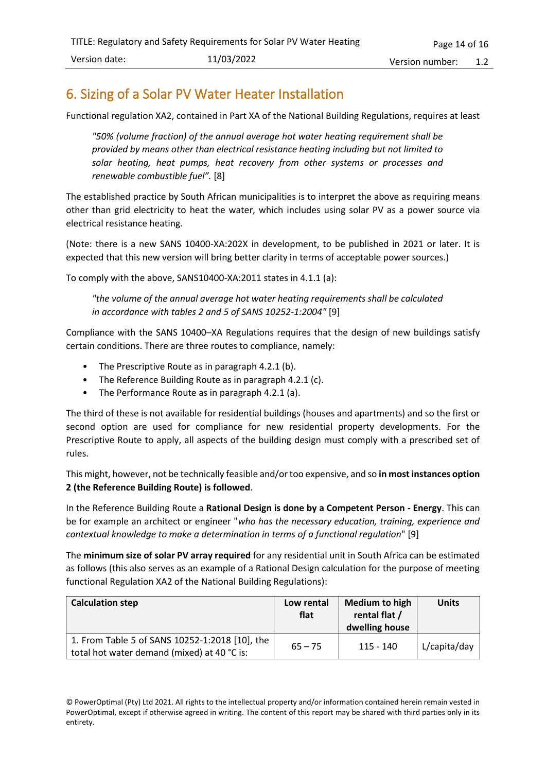## <span id="page-13-0"></span>6. Sizing of a Solar PV Water Heater Installation

Functional regulation XA2, contained in Part XA of the National Building Regulations, requires at least

*"50% (volume fraction) of the annual average hot water heating requirement shall be provided by means other than electrical resistance heating including but not limited to solar heating, heat pumps, heat recovery from other systems or processes and renewable combustible fuel".* [8]

The established practice by South African municipalities is to interpret the above as requiring means other than grid electricity to heat the water, which includes using solar PV as a power source via electrical resistance heating.

(Note: there is a new SANS 10400-XA:202X in development, to be published in 2021 or later. It is expected that this new version will bring better clarity in terms of acceptable power sources.)

To comply with the above, SANS10400-XA:2011 states in 4.1.1 (a):

*"the volume of the annual average hot water heating requirements shall be calculated in accordance with tables 2 and 5 of SANS 10252-1:2004"* [9]

Compliance with the SANS 10400–XA Regulations requires that the design of new buildings satisfy certain conditions. There are three routes to compliance, namely:

- The Prescriptive Route as in paragraph 4.2.1 (b).
- The Reference Building Route as in paragraph 4.2.1 (c).
- The Performance Route as in paragraph 4.2.1 (a).

The third of these is not available for residential buildings (houses and apartments) and so the first or second option are used for compliance for new residential property developments. For the Prescriptive Route to apply, all aspects of the building design must comply with a prescribed set of rules.

This might, however, not be technically feasible and/or too expensive, and so **in most instances option 2 (the Reference Building Route) is followed**.

In the Reference Building Route a **Rational Design is done by a Competent Person - Energy**. This can be for example an architect or engineer "*who has the necessary education, training, experience and contextual knowledge to make a determination in terms of a functional regulation*" [9]

The **minimum size of solar PV array required** for any residential unit in South Africa can be estimated as follows (this also serves as an example of a Rational Design calculation for the purpose of meeting functional Regulation XA2 of the National Building Regulations):

| <b>Calculation step</b>                                                                       | Low rental<br>flat | <b>Medium to high</b><br>rental flat /<br>dwelling house | <b>Units</b> |
|-----------------------------------------------------------------------------------------------|--------------------|----------------------------------------------------------|--------------|
| 1. From Table 5 of SANS 10252-1:2018 [10], the<br>total hot water demand (mixed) at 40 °C is: | $65 - 75$          | 115 - 140                                                | L/capita/day |

<sup>©</sup> PowerOptimal (Pty) Ltd 2021. All rights to the intellectual property and/or information contained herein remain vested in PowerOptimal, except if otherwise agreed in writing. The content of this report may be shared with third parties only in its entirety.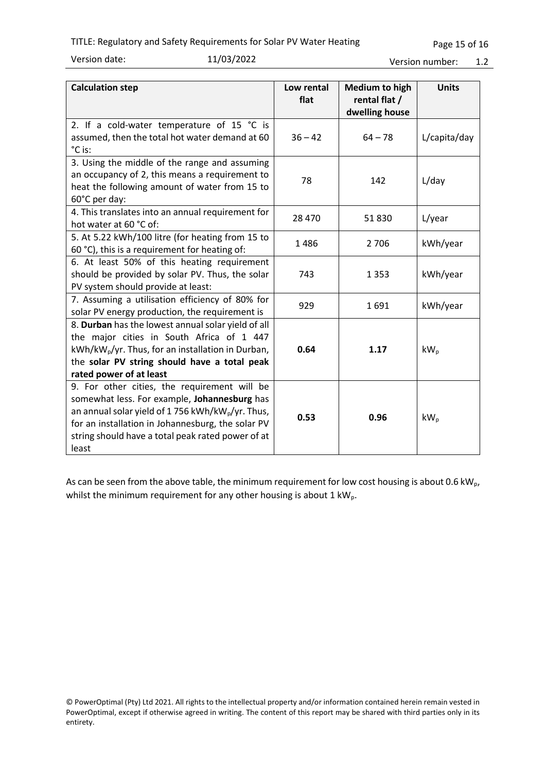#### TITLE: Regulatory and Safety Requirements for Solar PV Water Heating

Version date: 11/03/2022

| <b>Calculation step</b>                                                                                                                                                                                                                                                         | Low rental<br>flat | <b>Medium to high</b><br>rental flat /<br>dwelling house | <b>Units</b> |
|---------------------------------------------------------------------------------------------------------------------------------------------------------------------------------------------------------------------------------------------------------------------------------|--------------------|----------------------------------------------------------|--------------|
| 2. If a cold-water temperature of 15 °C is<br>assumed, then the total hot water demand at 60<br>°C is:                                                                                                                                                                          | $36 - 42$          | $64 - 78$                                                | L/capita/day |
| 3. Using the middle of the range and assuming<br>an occupancy of 2, this means a requirement to<br>heat the following amount of water from 15 to<br>60°C per day:                                                                                                               | 78                 | 142                                                      | L/day        |
| 4. This translates into an annual requirement for<br>hot water at 60 °C of:                                                                                                                                                                                                     | 28 4 70            | 51830                                                    | L/year       |
| 5. At 5.22 kWh/100 litre (for heating from 15 to<br>60 °C), this is a requirement for heating of:                                                                                                                                                                               | 1486               | 2 7 0 6                                                  | kWh/year     |
| 6. At least 50% of this heating requirement<br>should be provided by solar PV. Thus, the solar<br>PV system should provide at least:                                                                                                                                            | 743                | 1 3 5 3                                                  | kWh/year     |
| 7. Assuming a utilisation efficiency of 80% for<br>solar PV energy production, the requirement is                                                                                                                                                                               | 929                | 1691                                                     | kWh/year     |
| 8. Durban has the lowest annual solar yield of all<br>the major cities in South Africa of 1 447<br>kWh/kW <sub>p</sub> /yr. Thus, for an installation in Durban,<br>the solar PV string should have a total peak<br>rated power of at least                                     | 0.64               | 1.17                                                     | $kW_{p}$     |
| 9. For other cities, the requirement will be<br>somewhat less. For example, Johannesburg has<br>an annual solar yield of 1756 kWh/kW <sub>p</sub> /yr. Thus,<br>for an installation in Johannesburg, the solar PV<br>string should have a total peak rated power of at<br>least | 0.53               | 0.96                                                     | $kW_p$       |

As can be seen from the above table, the minimum requirement for low cost housing is about 0.6 kW<sub>p</sub>, whilst the minimum requirement for any other housing is about  $1 \text{ kW}_{p}$ .